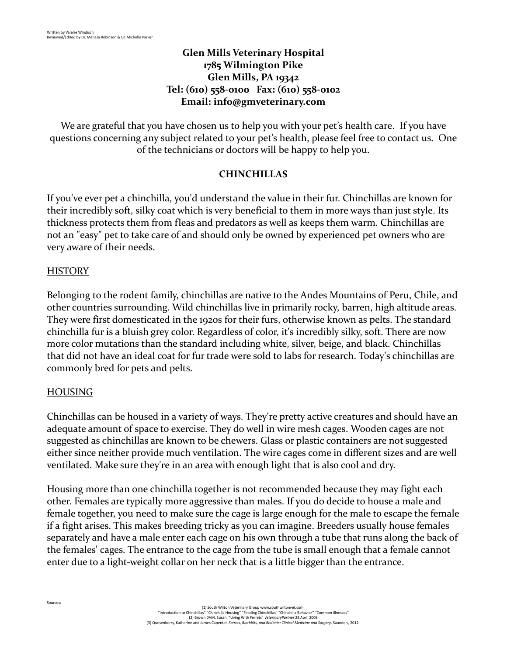## **Glen Mills Veterinary Hospital 1785 Wilmington Pike Glen Mills, PA 19342 Tel: (610) 558-0100 Fax: (610) 558-0102 Email: [info@gmveterinary.com](mailto:info@gmveterinary.com)**

We are grateful that you have chosen us to help you with your pet's health care. If you have questions concerning any subject related to your pet's health, please feel free to contact us. One of the technicians or doctors will be happy to help you.

#### **CHINCHILLAS**

If you've ever pet a chinchilla, you'd understand the value in their fur. Chinchillas are known for their incredibly soft, silky coat which is very beneficial to them in more ways than just style. Its thickness protects them from fleas and predators as well as keeps them warm. Chinchillas are not an "easy" pet to take care of and should only be owned by experienced pet owners who are very aware of their needs.

#### **HISTORY**

Belonging to the rodent family, chinchillas are native to the Andes Mountains of Peru, Chile, and other countries surrounding. Wild chinchillas live in primarily rocky, barren, high altitude areas. They were first domesticated in the 1920s for their furs, otherwise known as pelts. The standard chinchilla fur is a bluish grey color. Regardless of color, it's incredibly silky, soft. There are now more color mutations than the standard including white, silver, beige, and black. Chinchillas that did not have an ideal coat for fur trade were sold to labs for research. Today's chinchillas are commonly bred for pets and pelts.

#### HOUSING

Sources:

Chinchillas can be housed in a variety of ways. They're pretty active creatures and should have an adequate amount of space to exercise. They do well in wire mesh cages. Wooden cages are not suggested as chinchillas are known to be chewers. Glass or plastic containers are not suggested either since neither provide much ventilation. The wire cages come in different sizes and are well ventilated. Make sure they're in an area with enough light that is also cool and dry.

Housing more than one chinchilla together is not recommended because they may fight each other. Females are typically more aggressive than males. If you do decide to house a male and female together, you need to make sure the cage is large enough for the male to escape the female if a fight arises. This makes breeding tricky as you can imagine. Breeders usually house females separately and have a male enter each cage on his own through a tube that runs along the back of the females' cages. The entrance to the cage from the tube is small enough that a female cannot enter due to a light-weight collar on her neck that is a little bigger than the entrance.